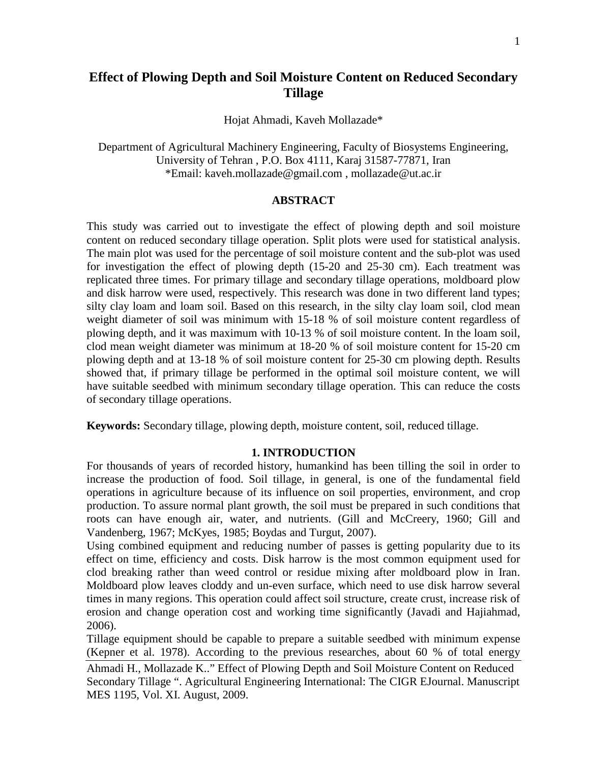# **Effect of Plowing Depth and Soil Moisture Content on Reduced Secondary Tillage**

Hojat Ahmadi, Kaveh Mollazade\*

Department of Agricultural Machinery Engineering, Faculty of Biosystems Engineering, University of Tehran , P.O. Box 4111, Karaj 31587-77871, Iran \*Email: kaveh.mollazade@gmail.com , mollazade@ut.ac.ir

# **ABSTRACT**

This study was carried out to investigate the effect of plowing depth and soil moisture content on reduced secondary tillage operation. Split plots were used for statistical analysis. The main plot was used for the percentage of soil moisture content and the sub-plot was used for investigation the effect of plowing depth (15-20 and 25-30 cm). Each treatment was replicated three times. For primary tillage and secondary tillage operations, moldboard plow and disk harrow were used, respectively. This research was done in two different land types; silty clay loam and loam soil. Based on this research, in the silty clay loam soil, clod mean weight diameter of soil was minimum with 15-18 % of soil moisture content regardless of plowing depth, and it was maximum with 10-13 % of soil moisture content. In the loam soil, clod mean weight diameter was minimum at 18-20 % of soil moisture content for 15-20 cm plowing depth and at 13-18 % of soil moisture content for 25-30 cm plowing depth. Results showed that, if primary tillage be performed in the optimal soil moisture content, we will have suitable seedbed with minimum secondary tillage operation. This can reduce the costs of secondary tillage operations.

**Keywords:** Secondary tillage, plowing depth, moisture content, soil, reduced tillage.

### **1. INTRODUCTION**

For thousands of years of recorded history, humankind has been tilling the soil in order to increase the production of food. Soil tillage, in general, is one of the fundamental field operations in agriculture because of its influence on soil properties, environment, and crop production. To assure normal plant growth, the soil must be prepared in such conditions that roots can have enough air, water, and nutrients. (Gill and McCreery, 1960; Gill and Vandenberg, 1967; McKyes, 1985; Boydas and Turgut, 2007).

Using combined equipment and reducing number of passes is getting popularity due to its effect on time, efficiency and costs. Disk harrow is the most common equipment used for clod breaking rather than weed control or residue mixing after moldboard plow in Iran. Moldboard plow leaves cloddy and un-even surface, which need to use disk harrow several times in many regions. This operation could affect soil structure, create crust, increase risk of erosion and change operation cost and working time significantly (Javadi and Hajiahmad, 2006).

Tillage equipment should be capable to prepare a suitable seedbed with minimum expense (Kepner et al. 1978). According to the previous researches, about 60 % of total energy

Ahmadi H., Mollazade K.." Effect of Plowing Depth and Soil Moisture Content on Reduced Secondary Tillage ". Agricultural Engineering International: The CIGR EJournal. Manuscript MES 1195, Vol. XI. August, 2009.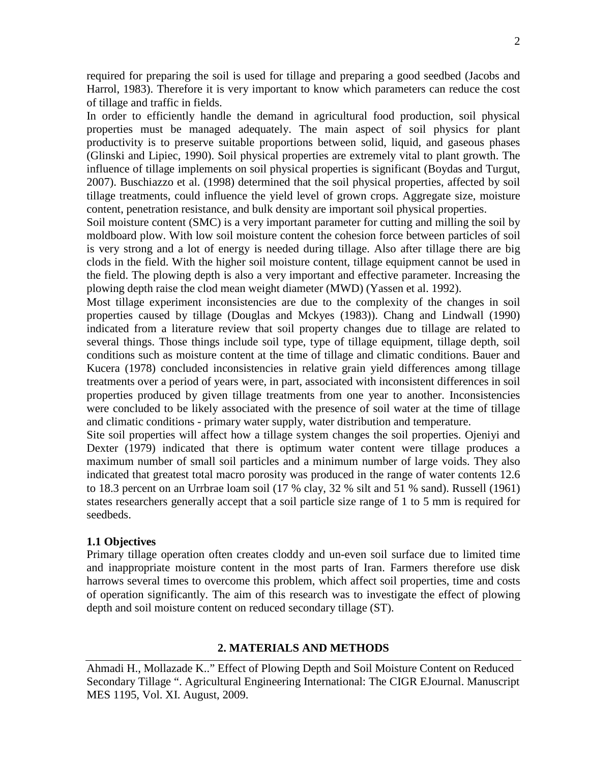required for preparing the soil is used for tillage and preparing a good seedbed (Jacobs and Harrol, 1983). Therefore it is very important to know which parameters can reduce the cost of tillage and traffic in fields.

In order to efficiently handle the demand in agricultural food production, soil physical properties must be managed adequately. The main aspect of soil physics for plant productivity is to preserve suitable proportions between solid, liquid, and gaseous phases (Glinski and Lipiec, 1990). Soil physical properties are extremely vital to plant growth. The influence of tillage implements on soil physical properties is significant (Boydas and Turgut, 2007). Buschiazzo et al. (1998) determined that the soil physical properties, affected by soil tillage treatments, could influence the yield level of grown crops. Aggregate size, moisture content, penetration resistance, and bulk density are important soil physical properties.

Soil moisture content (SMC) is a very important parameter for cutting and milling the soil by moldboard plow. With low soil moisture content the cohesion force between particles of soil is very strong and a lot of energy is needed during tillage. Also after tillage there are big clods in the field. With the higher soil moisture content, tillage equipment cannot be used in the field. The plowing depth is also a very important and effective parameter. Increasing the plowing depth raise the clod mean weight diameter (MWD) (Yassen et al. 1992).

Most tillage experiment inconsistencies are due to the complexity of the changes in soil properties caused by tillage (Douglas and Mckyes (1983)). Chang and Lindwall (1990) indicated from a literature review that soil property changes due to tillage are related to several things. Those things include soil type, type of tillage equipment, tillage depth, soil conditions such as moisture content at the time of tillage and climatic conditions. Bauer and Kucera (1978) concluded inconsistencies in relative grain yield differences among tillage treatments over a period of years were, in part, associated with inconsistent differences in soil properties produced by given tillage treatments from one year to another. Inconsistencies were concluded to be likely associated with the presence of soil water at the time of tillage and climatic conditions - primary water supply, water distribution and temperature.

Site soil properties will affect how a tillage system changes the soil properties. Ojeniyi and Dexter (1979) indicated that there is optimum water content were tillage produces a maximum number of small soil particles and a minimum number of large voids. They also indicated that greatest total macro porosity was produced in the range of water contents 12.6 to 18.3 percent on an Urrbrae loam soil (17 % clay, 32 % silt and 51 % sand). Russell (1961) states researchers generally accept that a soil particle size range of 1 to 5 mm is required for seedbeds.

# **1.1 Objectives**

Primary tillage operation often creates cloddy and un-even soil surface due to limited time and inappropriate moisture content in the most parts of Iran. Farmers therefore use disk harrows several times to overcome this problem, which affect soil properties, time and costs of operation significantly. The aim of this research was to investigate the effect of plowing depth and soil moisture content on reduced secondary tillage (ST).

# **2. MATERIALS AND METHODS**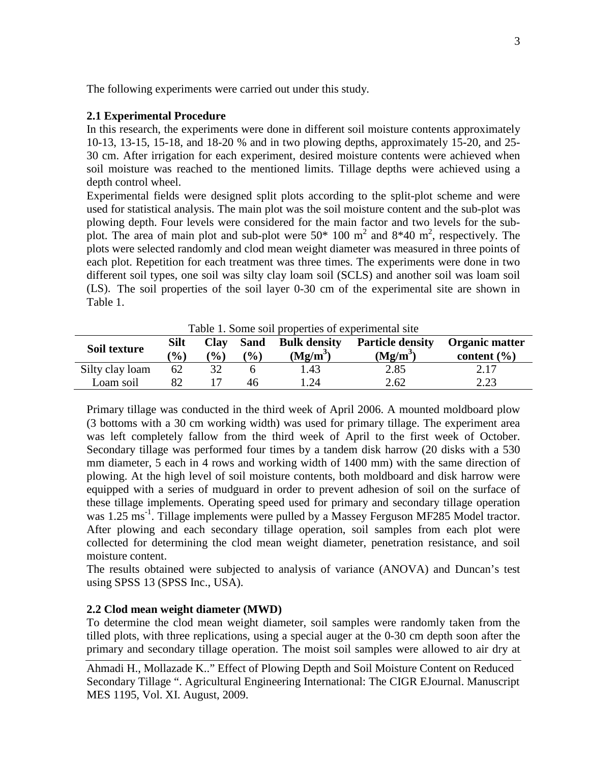The following experiments were carried out under this study.

# **2.1 Experimental Procedure**

In this research, the experiments were done in different soil moisture contents approximately 10-13, 13-15, 15-18, and 18-20 % and in two plowing depths, approximately 15-20, and 25- 30 cm. After irrigation for each experiment, desired moisture contents were achieved when soil moisture was reached to the mentioned limits. Tillage depths were achieved using a depth control wheel.

Experimental fields were designed split plots according to the split-plot scheme and were used for statistical analysis. The main plot was the soil moisture content and the sub-plot was plowing depth. Four levels were considered for the main factor and two levels for the subplot. The area of main plot and sub-plot were  $50*100 \text{ m}^2$  and  $8*40 \text{ m}^2$ , respectively. The plots were selected randomly and clod mean weight diameter was measured in three points of each plot. Repetition for each treatment was three times. The experiments were done in two different soil types, one soil was silty clay loam soil (SCLS) and another soil was loam soil (LS). The soil properties of the soil layer 0-30 cm of the experimental site are shown in Table 1.

| Tuble 1. Bonie son properties of experimental site |                              |                       |                       |                                   |                                       |                                   |
|----------------------------------------------------|------------------------------|-----------------------|-----------------------|-----------------------------------|---------------------------------------|-----------------------------------|
| Soil texture                                       | <b>Silt</b><br>$\frac{1}{2}$ | <b>Clay</b><br>$($ %) | <b>Sand</b><br>$($ %) | <b>Bulk density</b><br>$(Mg/m^3)$ | <b>Particle density</b><br>$(Mg/m^3)$ | Organic matter<br>content $(\% )$ |
| Silty clay loam                                    | 62                           |                       |                       | l.43                              | 2.85                                  | 2.17                              |
| Loam soil                                          |                              |                       | 46                    | .24                               | 2.62                                  | 2.23                              |

Table 1. Some soil properties of experimental site

Primary tillage was conducted in the third week of April 2006. A mounted moldboard plow (3 bottoms with a 30 cm working width) was used for primary tillage. The experiment area was left completely fallow from the third week of April to the first week of October. Secondary tillage was performed four times by a tandem disk harrow (20 disks with a 530 mm diameter, 5 each in 4 rows and working width of 1400 mm) with the same direction of plowing. At the high level of soil moisture contents, both moldboard and disk harrow were equipped with a series of mudguard in order to prevent adhesion of soil on the surface of these tillage implements. Operating speed used for primary and secondary tillage operation was 1.25 ms<sup>-1</sup>. Tillage implements were pulled by a Massey Ferguson MF285 Model tractor. After plowing and each secondary tillage operation, soil samples from each plot were collected for determining the clod mean weight diameter, penetration resistance, and soil moisture content.

The results obtained were subjected to analysis of variance (ANOVA) and Duncan's test using SPSS 13 (SPSS Inc., USA).

# **2.2 Clod mean weight diameter (MWD)**

To determine the clod mean weight diameter, soil samples were randomly taken from the tilled plots, with three replications, using a special auger at the 0-30 cm depth soon after the primary and secondary tillage operation. The moist soil samples were allowed to air dry at

Ahmadi H., Mollazade K.." Effect of Plowing Depth and Soil Moisture Content on Reduced Secondary Tillage ". Agricultural Engineering International: The CIGR EJournal. Manuscript MES 1195, Vol. XI. August, 2009.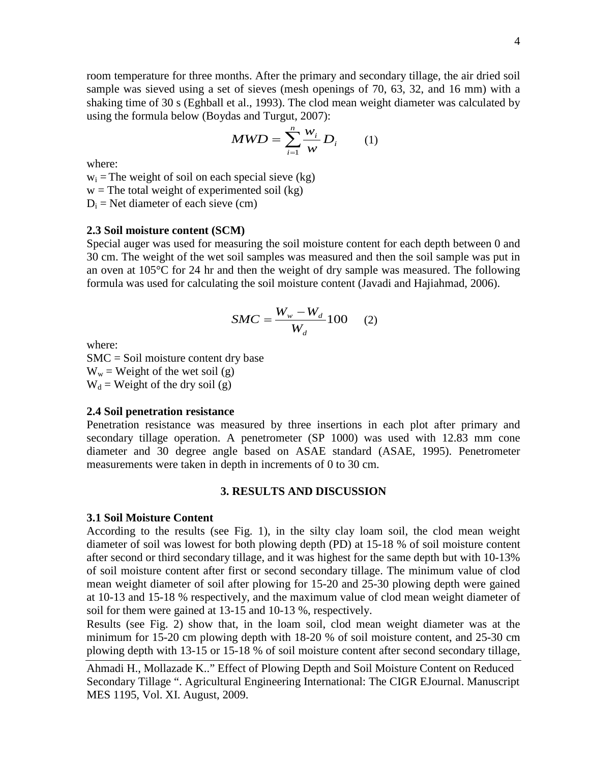room temperature for three months. After the primary and secondary tillage, the air dried soil sample was sieved using a set of sieves (mesh openings of 70, 63, 32, and 16 mm) with a shaking time of 30 s (Eghball et al., 1993). The clod mean weight diameter was calculated by using the formula below (Boydas and Turgut, 2007):

$$
MWD = \sum_{i=1}^{n} \frac{W_i}{W} D_i \qquad (1)
$$

where:

 $w_i$  = The weight of soil on each special sieve (kg)

 $w =$ The total weight of experimented soil (kg)

 $D_i$  = Net diameter of each sieve (cm)

#### **2.3 Soil moisture content (SCM)**

Special auger was used for measuring the soil moisture content for each depth between 0 and 30 cm. The weight of the wet soil samples was measured and then the soil sample was put in an oven at 105°C for 24 hr and then the weight of dry sample was measured. The following formula was used for calculating the soil moisture content (Javadi and Hajiahmad, 2006).

$$
SMC = \frac{W_w - W_d}{W_d}100 \qquad (2)
$$

where:

SMC = Soil moisture content dry base  $W_w$  = Weight of the wet soil (g)  $W_d$  = Weight of the dry soil (g)

#### **2.4 Soil penetration resistance**

Penetration resistance was measured by three insertions in each plot after primary and secondary tillage operation. A penetrometer (SP 1000) was used with 12.83 mm cone diameter and 30 degree angle based on ASAE standard (ASAE, 1995). Penetrometer measurements were taken in depth in increments of 0 to 30 cm.

#### **3. RESULTS AND DISCUSSION**

### **3.1 Soil Moisture Content**

According to the results (see Fig. 1), in the silty clay loam soil, the clod mean weight diameter of soil was lowest for both plowing depth (PD) at 15-18 % of soil moisture content after second or third secondary tillage, and it was highest for the same depth but with 10-13% of soil moisture content after first or second secondary tillage. The minimum value of clod mean weight diameter of soil after plowing for 15-20 and 25-30 plowing depth were gained at 10-13 and 15-18 % respectively, and the maximum value of clod mean weight diameter of soil for them were gained at 13-15 and 10-13 %, respectively.

Results (see Fig. 2) show that, in the loam soil, clod mean weight diameter was at the minimum for 15-20 cm plowing depth with 18-20 % of soil moisture content, and 25-30 cm plowing depth with 13-15 or 15-18 % of soil moisture content after second secondary tillage,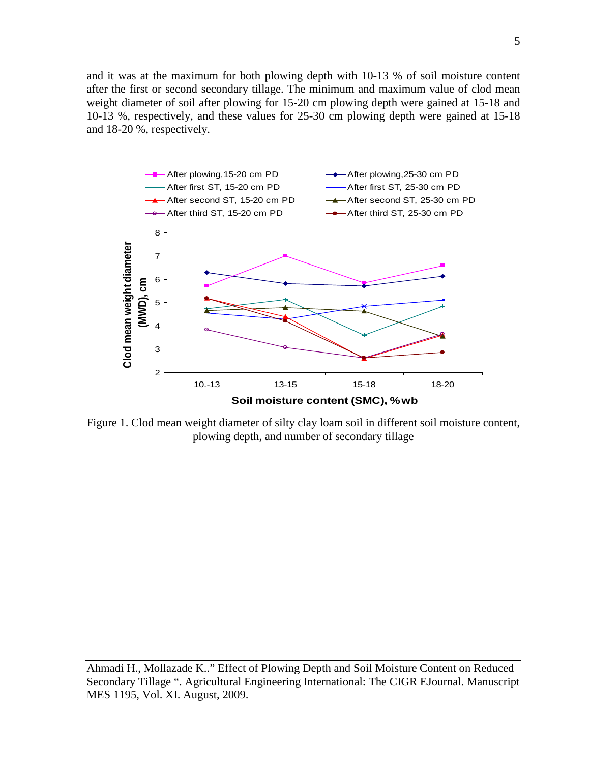and it was at the maximum for both plowing depth with 10-13 % of soil moisture content after the first or second secondary tillage. The minimum and maximum value of clod mean weight diameter of soil after plowing for 15-20 cm plowing depth were gained at 15-18 and 10-13 %, respectively, and these values for 25-30 cm plowing depth were gained at 15-18 and 18-20 %, respectively.



Figure 1. Clod mean weight diameter of silty clay loam soil in different soil moisture content, plowing depth, and number of secondary tillage

Ahmadi H., Mollazade K.." Effect of Plowing Depth and Soil Moisture Content on Reduced Secondary Tillage ". Agricultural Engineering International: The CIGR EJournal. Manuscript MES 1195, Vol. XI. August, 2009.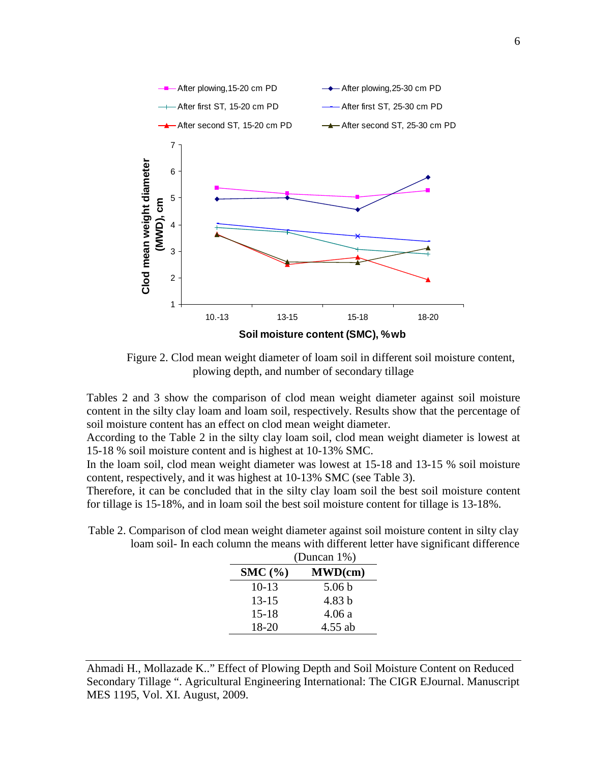

Figure 2. Clod mean weight diameter of loam soil in different soil moisture content, plowing depth, and number of secondary tillage

Tables 2 and 3 show the comparison of clod mean weight diameter against soil moisture content in the silty clay loam and loam soil, respectively. Results show that the percentage of soil moisture content has an effect on clod mean weight diameter.

According to the Table 2 in the silty clay loam soil, clod mean weight diameter is lowest at 15-18 % soil moisture content and is highest at 10-13% SMC.

In the loam soil, clod mean weight diameter was lowest at 15-18 and 13-15 % soil moisture content, respectively, and it was highest at 10-13% SMC (see Table 3).

Therefore, it can be concluded that in the silty clay loam soil the best soil moisture content for tillage is 15-18%, and in loam soil the best soil moisture content for tillage is 13-18%.

Table 2. Comparison of clod mean weight diameter against soil moisture content in silty clay loam soil- In each column the means with different letter have significant difference

|           | (Duncan $1\%$ )   |  |  |
|-----------|-------------------|--|--|
| SMC(%)    | MWD(cm)           |  |  |
| $10-13$   | 5.06 <sub>b</sub> |  |  |
| $13 - 15$ | 4.83 b            |  |  |
| $15 - 18$ | 4.06 a            |  |  |
| 18-20     | 4.55 ab           |  |  |

Ahmadi H., Mollazade K.." Effect of Plowing Depth and Soil Moisture Content on Reduced Secondary Tillage ". Agricultural Engineering International: The CIGR EJournal. Manuscript MES 1195, Vol. XI. August, 2009.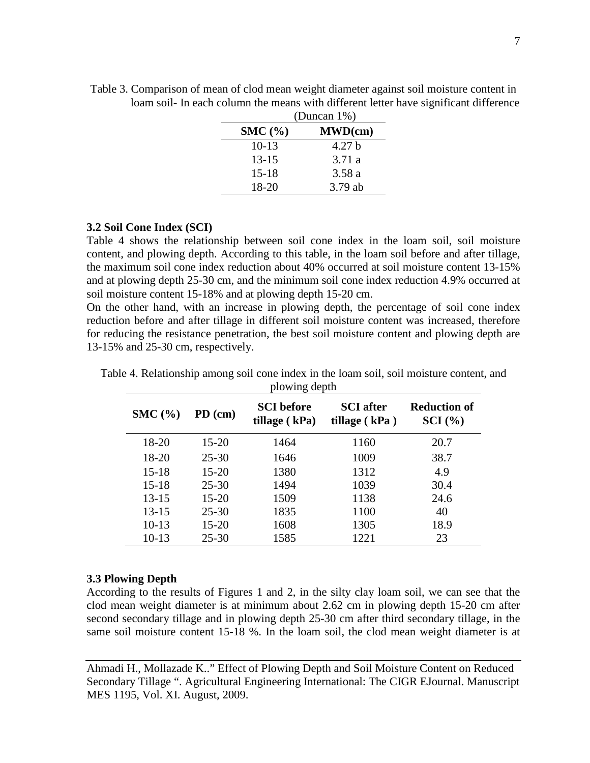|           | $\omega$ and $\omega$ , $\omega$ , |  |  |  |
|-----------|------------------------------------|--|--|--|
| SMC(%)    | MWD(cm)                            |  |  |  |
| $10-13$   | 4.27 <sub>b</sub>                  |  |  |  |
| $13 - 15$ | 3.71a                              |  |  |  |
| $15 - 18$ | 3.58a                              |  |  |  |
| 18-20     | 3.79 ab                            |  |  |  |

Table 3. Comparison of mean of clod mean weight diameter against soil moisture content in loam soil- In each column the means with different letter have significant difference (Duncan 1%)

# **3.2 Soil Cone Index (SCI)**

Table 4 shows the relationship between soil cone index in the loam soil, soil moisture content, and plowing depth. According to this table, in the loam soil before and after tillage, the maximum soil cone index reduction about 40% occurred at soil moisture content 13-15% and at plowing depth 25-30 cm, and the minimum soil cone index reduction 4.9% occurred at soil moisture content 15-18% and at plowing depth 15-20 cm.

On the other hand, with an increase in plowing depth, the percentage of soil cone index reduction before and after tillage in different soil moisture content was increased, therefore for reducing the resistance penetration, the best soil moisture content and plowing depth are 13-15% and 25-30 cm, respectively.

| SMC(%)    | $PD$ (cm) | <b>SCI</b> before<br>tillage $(kPa)$ | <b>SCI</b> after<br>tillage $(kPa)$ | <b>Reduction of</b><br>$\mathbf{SCI}\left(\mathcal{V}_0\right)$ |
|-----------|-----------|--------------------------------------|-------------------------------------|-----------------------------------------------------------------|
| 18-20     | 15-20     | 1464                                 | 1160                                | 20.7                                                            |
| 18-20     | $25 - 30$ | 1646                                 | 1009                                | 38.7                                                            |
| $15 - 18$ | $15 - 20$ | 1380                                 | 1312                                | 4.9                                                             |
| $15 - 18$ | $25 - 30$ | 1494                                 | 1039                                | 30.4                                                            |
| $13 - 15$ | $15 - 20$ | 1509                                 | 1138                                | 24.6                                                            |
| $13 - 15$ | $25 - 30$ | 1835                                 | 1100                                | 40                                                              |
| $10-13$   | $15 - 20$ | 1608                                 | 1305                                | 18.9                                                            |
| $10-13$   | $25 - 30$ | 1585                                 | 1221                                | 23                                                              |

Table 4. Relationship among soil cone index in the loam soil, soil moisture content, and plowing depth

### **3.3 Plowing Depth**

According to the results of Figures 1 and 2, in the silty clay loam soil, we can see that the clod mean weight diameter is at minimum about 2.62 cm in plowing depth 15-20 cm after second secondary tillage and in plowing depth 25-30 cm after third secondary tillage, in the same soil moisture content 15-18 %. In the loam soil, the clod mean weight diameter is at

Ahmadi H., Mollazade K.." Effect of Plowing Depth and Soil Moisture Content on Reduced Secondary Tillage ". Agricultural Engineering International: The CIGR EJournal. Manuscript MES 1195, Vol. XI. August, 2009.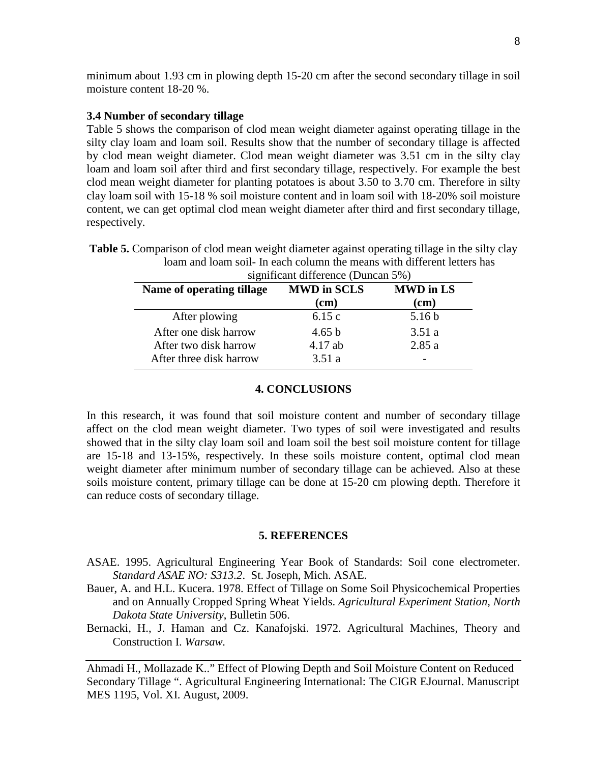minimum about 1.93 cm in plowing depth 15-20 cm after the second secondary tillage in soil moisture content 18-20 %.

# **3.4 Number of secondary tillage**

Table 5 shows the comparison of clod mean weight diameter against operating tillage in the silty clay loam and loam soil. Results show that the number of secondary tillage is affected by clod mean weight diameter. Clod mean weight diameter was 3.51 cm in the silty clay loam and loam soil after third and first secondary tillage, respectively. For example the best clod mean weight diameter for planting potatoes is about 3.50 to 3.70 cm. Therefore in silty clay loam soil with 15-18 % soil moisture content and in loam soil with 18-20% soil moisture content, we can get optimal clod mean weight diameter after third and first secondary tillage, respectively.

| significant difference (Duncan 5%) |                            |                          |  |  |
|------------------------------------|----------------------------|--------------------------|--|--|
| Name of operating tillage          | <b>MWD</b> in SCLS<br>(cm) | <b>MWD</b> in LS<br>(cm) |  |  |
| After plowing                      | 6.15c                      | 5.16 <sub>b</sub>        |  |  |
| After one disk harrow              | 4.65 b                     | 3.51a                    |  |  |
| After two disk harrow              | $4.17$ ab                  | 2.85a                    |  |  |
| After three disk harrow            | 3.51a                      |                          |  |  |

**Table 5.** Comparison of clod mean weight diameter against operating tillage in the silty clay loam and loam soil- In each column the means with different letters has

### **4. CONCLUSIONS**

In this research, it was found that soil moisture content and number of secondary tillage affect on the clod mean weight diameter. Two types of soil were investigated and results showed that in the silty clay loam soil and loam soil the best soil moisture content for tillage are 15-18 and 13-15%, respectively. In these soils moisture content, optimal clod mean weight diameter after minimum number of secondary tillage can be achieved. Also at these soils moisture content, primary tillage can be done at 15-20 cm plowing depth. Therefore it can reduce costs of secondary tillage.

### **5. REFERENCES**

- ASAE. 1995. Agricultural Engineering Year Book of Standards: Soil cone electrometer. *Standard ASAE NO: S313.2*. St. Joseph, Mich. ASAE.
- Bauer, A. and H.L. Kucera. 1978. Effect of Tillage on Some Soil Physicochemical Properties and on Annually Cropped Spring Wheat Yields. *Agricultural Experiment Station, North Dakota State University*, Bulletin 506.
- Bernacki, H., J. Haman and Cz. Kanafojski. 1972. Agricultural Machines, Theory and Construction I. *Warsaw.*